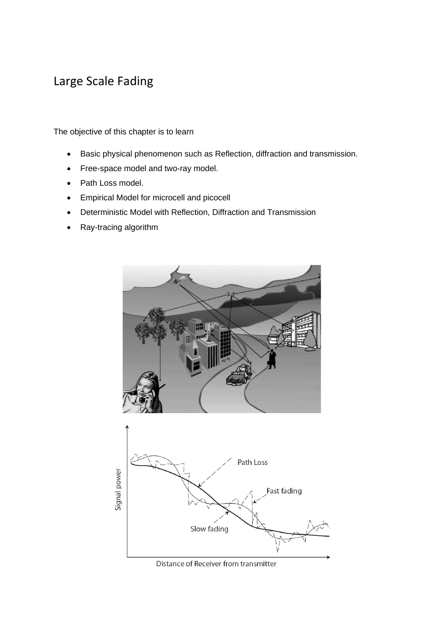# Large Scale Fading

The objective of this chapter is to learn

- Basic physical phenomenon such as Reflection, diffraction and transmission.
- Free-space model and two-ray model.
- Path Loss model.
- Empirical Model for microcell and picocell
- Deterministic Model with Reflection, Diffraction and Transmission
- Ray-tracing algorithm



Distance of Receiver from transmitter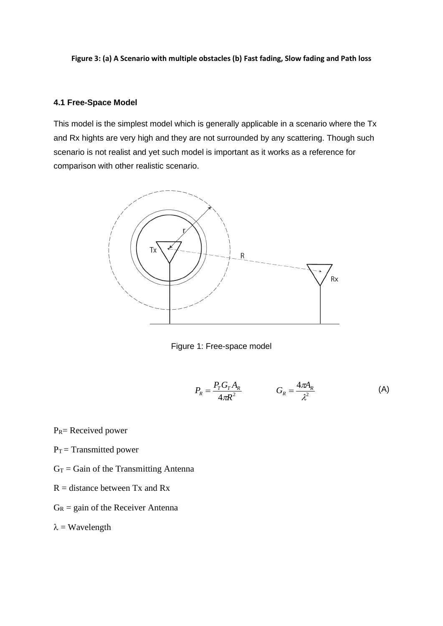**Figure 3: (a) A Scenario with multiple obstacles (b) Fast fading, Slow fading and Path loss**

# **4.1 Free-Space Model**

This model is the simplest model which is generally applicable in a scenario where the Tx and Rx hights are very high and they are not surrounded by any scattering. Though such scenario is not realist and yet such model is important as it works as a reference for comparison with other realistic scenario.



Figure 1: Free-space model

$$
P_R = \frac{P_T G_T A_R}{4\pi R^2} \qquad G_R = \frac{4\pi A_R}{\lambda^2} \tag{A}
$$

 $P_R$ = Received power

- $P_T$  = Transmitted power
- $G_T$  = Gain of the Transmitting Antenna
- $R =$  distance between Tx and Rx
- $G_R$  = gain of the Receiver Antenna

 $\lambda$  = Wavelength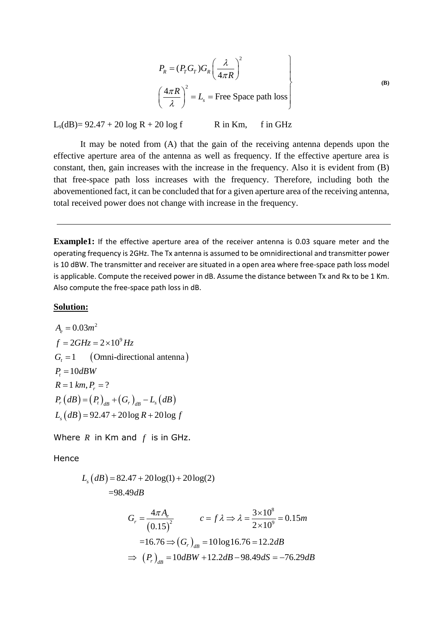$$
P_R = (P_T G_T) G_R \left(\frac{\lambda}{4\pi R}\right)^2
$$
  

$$
\left(\frac{4\pi R}{\lambda}\right)^2 = L_s
$$
 = Free Space path loss

 $L_s(dB) = 92.47 + 20 \log R + 20 \log f$  R in Km, f in GHz

It may be noted from (A) that the gain of the receiving antenna depends upon the effective aperture area of the antenna as well as frequency. If the effective aperture area is constant, then, gain increases with the increase in the frequency. Also it is evident from (B) that free-space path loss increases with the frequency. Therefore, including both the abovementioned fact, it can be concluded that for a given aperture area of the receiving antenna, total received power does not change with increase in the frequency.

**Example1:** If the effective aperture area of the receiver antenna is 0.03 square meter and the operating frequency is 2GHz. The Tx antenna is assumed to be omnidirectional and transmitter power is 10 dBW. The transmitter and receiver are situated in a open area where free-space path loss model is applicable. Compute the received power in dB. Assume the distance between Tx and Rx to be 1 Km. Also compute the free-space path loss in dB.

### **Solution:**

 $G_t = 1$  (Omni-directional antenna)  $R = 1 \ km, P_r = ?$ <br> $P_r (dB) = (P_t)_{dB} + (G_r)_{dB} - L_s (dB)$  $P_r (ab) = (P_t)_{ab} + (G_r)_{ab} - L_s (ab)$ <br>  $L_s (dB) = 92.47 + 20 \log R + 20 \log f$  $A_e = 0.03m^2$ 9  $A_e = 0.03m$ <br> $f = 2GHz = 2 \times 10^9 Hz$  $P_t = 1$  (**C**)<br> $P_t = 10dBW$  $P_t = 10$ *dBW*<br> $R = 1$  km,  $P_r = ?$ 

Where  $R$  in Km and  $f$  is in GHz.

## Hence

$$
L_s (dB) = 82.47 + 20 \log(1) + 20 \log(2)
$$
  
=98.49dB  

$$
G_r = \frac{4\pi A_e}{(0.15)^2} \qquad c = f \lambda \Rightarrow \lambda = \frac{3 \times 10^8}{2 \times 10^9} = 0.15m
$$
  
=16.76  $\Rightarrow$   $(G_r)_{dB}$  = 10 log 16.76 = 12.2dB  
 $\Rightarrow$   $(P_r)_{dB}$  = 10dBW + 12.2dB - 98.49dS = -76.29dB